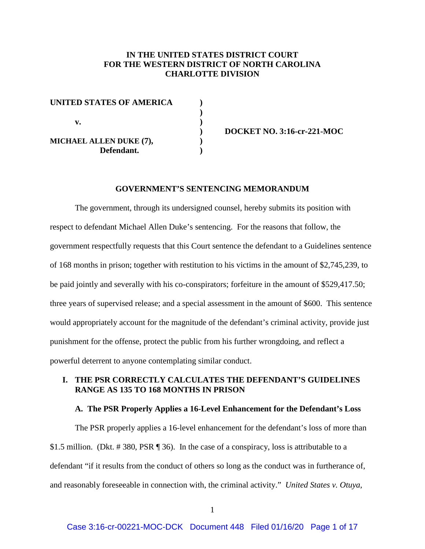# **IN THE UNITED STATES DISTRICT COURT FOR THE WESTERN DISTRICT OF NORTH CAROLINA CHARLOTTE DIVISION**

| <b>UNITED STATES OF AMERICA</b> |  |
|---------------------------------|--|
|                                 |  |
| v.                              |  |
|                                 |  |
| MICHAEL ALLEN DUKE (7),         |  |
| Defendant.                      |  |

**) DOCKET NO. 3:16-cr-221-MOC**

### **GOVERNMENT'S SENTENCING MEMORANDUM**

The government, through its undersigned counsel, hereby submits its position with respect to defendant Michael Allen Duke's sentencing. For the reasons that follow, the government respectfully requests that this Court sentence the defendant to a Guidelines sentence of 168 months in prison; together with restitution to his victims in the amount of \$2,745,239, to be paid jointly and severally with his co-conspirators; forfeiture in the amount of \$529,417.50; three years of supervised release; and a special assessment in the amount of \$600. This sentence would appropriately account for the magnitude of the defendant's criminal activity, provide just punishment for the offense, protect the public from his further wrongdoing, and reflect a powerful deterrent to anyone contemplating similar conduct.

# **I. THE PSR CORRECTLY CALCULATES THE DEFENDANT'S GUIDELINES RANGE AS 135 TO 168 MONTHS IN PRISON**

### **A. The PSR Properly Applies a 16-Level Enhancement for the Defendant's Loss**

The PSR properly applies a 16-level enhancement for the defendant's loss of more than \$1.5 million. (Dkt. # 380, PSR ¶ 36). In the case of a conspiracy, loss is attributable to a defendant "if it results from the conduct of others so long as the conduct was in furtherance of, and reasonably foreseeable in connection with, the criminal activity." *United States v. Otuya*,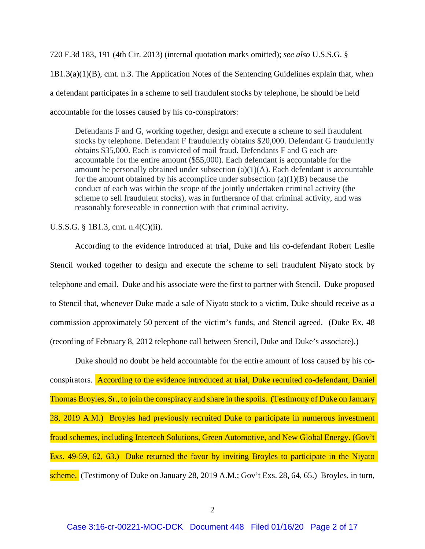720 F.3d 183, 191 (4th Cir. 2013) (internal quotation marks omitted); *see also* U.S.S.G. § 1B1.3(a)(1)(B), cmt. n.3. The Application Notes of the Sentencing Guidelines explain that, when a defendant participates in a scheme to sell fraudulent stocks by telephone, he should be held accountable for the losses caused by his co-conspirators:

Defendants F and G, working together, design and execute a scheme to sell fraudulent stocks by telephone. Defendant F fraudulently obtains \$20,000. Defendant G fraudulently obtains \$35,000. Each is convicted of mail fraud. Defendants F and G each are accountable for the entire amount (\$55,000). Each defendant is accountable for the amount he personally obtained under subsection  $(a)(1)(A)$ . Each defendant is accountable for the amount obtained by his accomplice under subsection  $(a)(1)(B)$  because the conduct of each was within the scope of the jointly undertaken criminal activity (the scheme to sell fraudulent stocks), was in furtherance of that criminal activity, and was reasonably foreseeable in connection with that criminal activity.

U.S.S.G. § 1B1.3, cmt. n.4(C)(ii).

According to the evidence introduced at trial, Duke and his co-defendant Robert Leslie Stencil worked together to design and execute the scheme to sell fraudulent Niyato stock by telephone and email. Duke and his associate were the first to partner with Stencil. Duke proposed to Stencil that, whenever Duke made a sale of Niyato stock to a victim, Duke should receive as a commission approximately 50 percent of the victim's funds, and Stencil agreed. (Duke Ex. 48 (recording of February 8, 2012 telephone call between Stencil, Duke and Duke's associate).)

Duke should no doubt be held accountable for the entire amount of loss caused by his coconspirators. According to the evidence introduced at trial, Duke recruited co-defendant, Daniel Thomas Broyles, Sr., to join the conspiracy and share in the spoils. (Testimony of Duke on January 28, 2019 A.M.) Broyles had previously recruited Duke to participate in numerous investment fraud schemes, including Intertech Solutions, Green Automotive, and New Global Energy. (Gov't Exs. 49-59, 62, 63.) Duke returned the favor by inviting Broyles to participate in the Niyato scheme. (Testimony of Duke on January 28, 2019 A.M.; Gov't Exs. 28, 64, 65.) Broyles, in turn,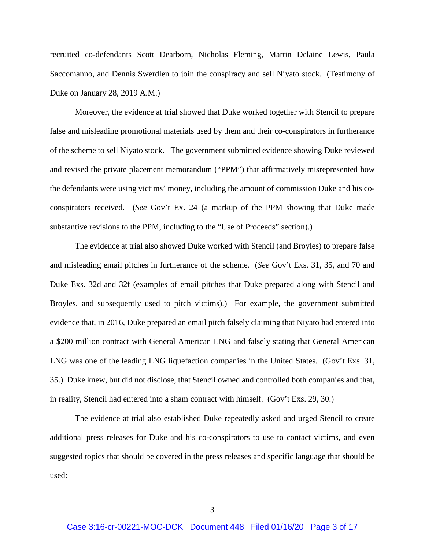recruited co-defendants Scott Dearborn, Nicholas Fleming, Martin Delaine Lewis, Paula Saccomanno, and Dennis Swerdlen to join the conspiracy and sell Niyato stock. (Testimony of Duke on January 28, 2019 A.M.)

Moreover, the evidence at trial showed that Duke worked together with Stencil to prepare false and misleading promotional materials used by them and their co-conspirators in furtherance of the scheme to sell Niyato stock. The government submitted evidence showing Duke reviewed and revised the private placement memorandum ("PPM") that affirmatively misrepresented how the defendants were using victims' money, including the amount of commission Duke and his coconspirators received. (*See* Gov't Ex. 24 (a markup of the PPM showing that Duke made substantive revisions to the PPM, including to the "Use of Proceeds" section).)

The evidence at trial also showed Duke worked with Stencil (and Broyles) to prepare false and misleading email pitches in furtherance of the scheme. (*See* Gov't Exs. 31, 35, and 70 and Duke Exs. 32d and 32f (examples of email pitches that Duke prepared along with Stencil and Broyles, and subsequently used to pitch victims).) For example, the government submitted evidence that, in 2016, Duke prepared an email pitch falsely claiming that Niyato had entered into a \$200 million contract with General American LNG and falsely stating that General American LNG was one of the leading LNG liquefaction companies in the United States. (Gov't Exs. 31, 35.) Duke knew, but did not disclose, that Stencil owned and controlled both companies and that, in reality, Stencil had entered into a sham contract with himself. (Gov't Exs. 29, 30.)

The evidence at trial also established Duke repeatedly asked and urged Stencil to create additional press releases for Duke and his co-conspirators to use to contact victims, and even suggested topics that should be covered in the press releases and specific language that should be used: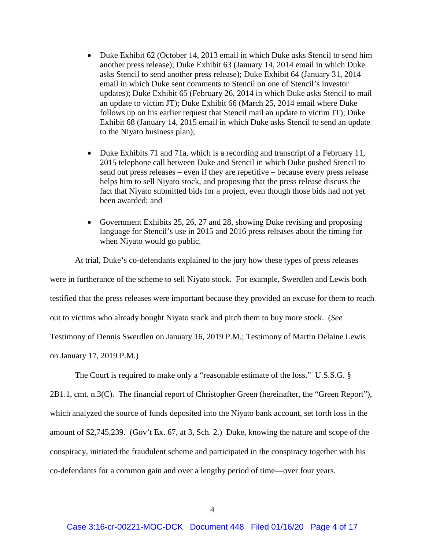- Duke Exhibit 62 (October 14, 2013 email in which Duke asks Stencil to send him another press release); Duke Exhibit 63 (January 14, 2014 email in which Duke asks Stencil to send another press release); Duke Exhibit 64 (January 31, 2014 email in which Duke sent comments to Stencil on one of Stencil's investor updates); Duke Exhibit 65 (February 26, 2014 in which Duke asks Stencil to mail an update to victim JT); Duke Exhibit 66 (March 25, 2014 email where Duke follows up on his earlier request that Stencil mail an update to victim JT); Duke Exhibit 68 (January 14, 2015 email in which Duke asks Stencil to send an update to the Niyato business plan);
- Duke Exhibits 71 and 71a, which is a recording and transcript of a February 11, 2015 telephone call between Duke and Stencil in which Duke pushed Stencil to send out press releases – even if they are repetitive – because every press release helps him to sell Niyato stock, and proposing that the press release discuss the fact that Niyato submitted bids for a project, even though those bids had not yet been awarded; and
- Government Exhibits 25, 26, 27 and 28, showing Duke revising and proposing language for Stencil's use in 2015 and 2016 press releases about the timing for when Niyato would go public.

At trial, Duke's co-defendants explained to the jury how these types of press releases were in furtherance of the scheme to sell Niyato stock. For example, Swerdlen and Lewis both testified that the press releases were important because they provided an excuse for them to reach out to victims who already bought Niyato stock and pitch them to buy more stock. (*See*  Testimony of Dennis Swerdlen on January 16, 2019 P.M.; Testimony of Martin Delaine Lewis on January 17, 2019 P.M.)

The Court is required to make only a "reasonable estimate of the loss." U.S.S.G. §

2B1.1, cmt. n.3(C). The financial report of Christopher Green (hereinafter, the "Green Report"), which analyzed the source of funds deposited into the Niyato bank account, set forth loss in the amount of \$2,745,239. (Gov't Ex. 67, at 3, Sch. 2.) Duke, knowing the nature and scope of the conspiracy, initiated the fraudulent scheme and participated in the conspiracy together with his co-defendants for a common gain and over a lengthy period of time—over four years.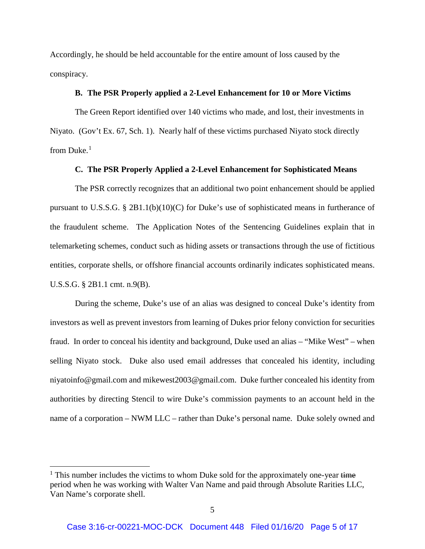Accordingly, he should be held accountable for the entire amount of loss caused by the conspiracy.

### **B. The PSR Properly applied a 2-Level Enhancement for 10 or More Victims**

The Green Report identified over 140 victims who made, and lost, their investments in Niyato. (Gov't Ex. 67, Sch. 1). Nearly half of these victims purchased Niyato stock directly from Duke.<sup>[1](#page-4-0)</sup>

### **C. The PSR Properly Applied a 2-Level Enhancement for Sophisticated Means**

The PSR correctly recognizes that an additional two point enhancement should be applied pursuant to U.S.S.G. § 2B1.1(b)(10)(C) for Duke's use of sophisticated means in furtherance of the fraudulent scheme. The Application Notes of the Sentencing Guidelines explain that in telemarketing schemes, conduct such as hiding assets or transactions through the use of fictitious entities, corporate shells, or offshore financial accounts ordinarily indicates sophisticated means. U.S.S.G. § 2B1.1 cmt. n.9(B).

During the scheme, Duke's use of an alias was designed to conceal Duke's identity from investors as well as prevent investors from learning of Dukes prior felony conviction for securities fraud. In order to conceal his identity and background, Duke used an alias – "Mike West" – when selling Niyato stock. Duke also used email addresses that concealed his identity, including niyatoinfo@gmail.com and mikewest2003@gmail.com. Duke further concealed his identity from authorities by directing Stencil to wire Duke's commission payments to an account held in the name of a corporation – NWM LLC – rather than Duke's personal name. Duke solely owned and

l

<span id="page-4-0"></span> $1$ . This number includes the victims to whom Duke sold for the approximately one-year time period when he was working with Walter Van Name and paid through Absolute Rarities LLC, Van Name's corporate shell.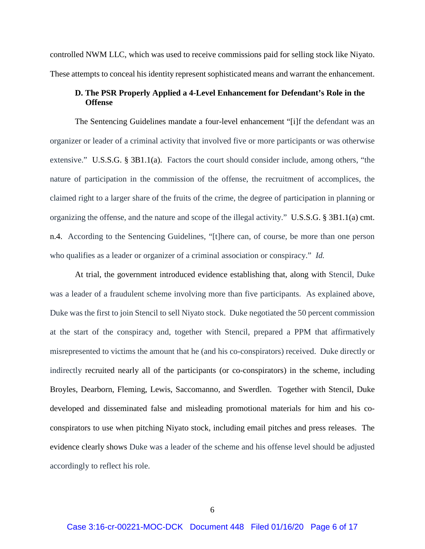controlled NWM LLC, which was used to receive commissions paid for selling stock like Niyato. These attempts to conceal his identity represent sophisticated means and warrant the enhancement.

# **D. The PSR Properly Applied a 4-Level Enhancement for Defendant's Role in the Offense**

The Sentencing Guidelines mandate a four-level enhancement "[i]f the defendant was an organizer or leader of a criminal activity that involved five or more participants or was otherwise extensive." U.S.S.G. § 3B1.1(a). Factors the court should consider include, among others, "the nature of participation in the commission of the offense, the recruitment of accomplices, the claimed right to a larger share of the fruits of the crime, the degree of participation in planning or organizing the offense, and the nature and scope of the illegal activity." U.S.S.G. § 3B1.1(a) cmt. n.4. According to the Sentencing Guidelines, "[t]here can, of course, be more than one person who qualifies as a leader or organizer of a criminal association or conspiracy." *Id.*

At trial, the government introduced evidence establishing that, along with Stencil, Duke was a leader of a fraudulent scheme involving more than five participants. As explained above, Duke was the first to join Stencil to sell Niyato stock. Duke negotiated the 50 percent commission at the start of the conspiracy and, together with Stencil, prepared a PPM that affirmatively misrepresented to victims the amount that he (and his co-conspirators) received. Duke directly or indirectly recruited nearly all of the participants (or co-conspirators) in the scheme, including Broyles, Dearborn, Fleming, Lewis, Saccomanno, and Swerdlen. Together with Stencil, Duke developed and disseminated false and misleading promotional materials for him and his coconspirators to use when pitching Niyato stock, including email pitches and press releases. The evidence clearly shows Duke was a leader of the scheme and his offense level should be adjusted accordingly to reflect his role.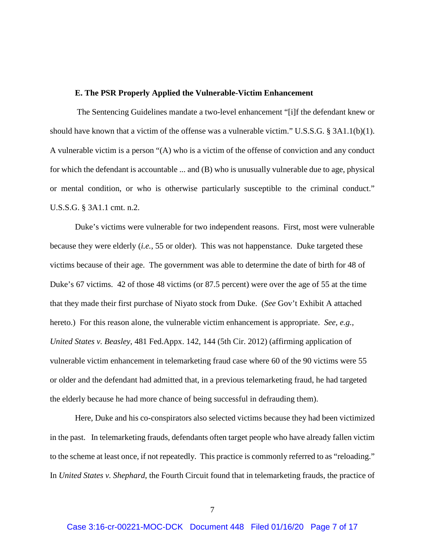### **E. The PSR Properly Applied the Vulnerable-Victim Enhancement**

The Sentencing Guidelines mandate a two-level enhancement "[i]f the defendant knew or should have known that a victim of the offense was a vulnerable victim." U.S.S.G. § 3A1.1(b)(1). A vulnerable victim is a person "(A) who is a victim of the offense of conviction and any conduct for which the defendant is accountable ... and (B) who is unusually vulnerable due to age, physical or mental condition, or who is otherwise particularly susceptible to the criminal conduct." U.S.S.G. § 3A1.1 cmt. n.2.

Duke's victims were vulnerable for two independent reasons. First, most were vulnerable because they were elderly (*i.e.*, 55 or older). This was not happenstance. Duke targeted these victims because of their age. The government was able to determine the date of birth for 48 of Duke's 67 victims. 42 of those 48 victims (or 87.5 percent) were over the age of 55 at the time that they made their first purchase of Niyato stock from Duke. (*See* Gov't Exhibit A attached hereto.) For this reason alone, the vulnerable victim enhancement is appropriate. *See, e.g., United States v. Beasley*, 481 Fed.Appx. 142, 144 (5th Cir. 2012) (affirming application of vulnerable victim enhancement in telemarketing fraud case where 60 of the 90 victims were 55 or older and the defendant had admitted that, in a previous telemarketing fraud, he had targeted the elderly because he had more chance of being successful in defrauding them).

Here, Duke and his co-conspirators also selected victims because they had been victimized in the past. In telemarketing frauds, defendants often target people who have already fallen victim to the scheme at least once, if not repeatedly. This practice is commonly referred to as "reloading." In *United States v. Shephard*, the Fourth Circuit found that in telemarketing frauds, the practice of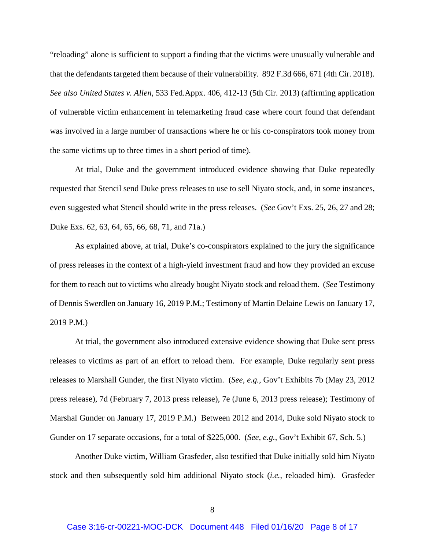"reloading" alone is sufficient to support a finding that the victims were unusually vulnerable and that the defendants targeted them because of their vulnerability. 892 F.3d 666, 671 (4th Cir. 2018). *See also United States v. Allen*, 533 Fed.Appx. 406, 412-13 (5th Cir. 2013) (affirming application of vulnerable victim enhancement in telemarketing fraud case where court found that defendant was involved in a large number of transactions where he or his co-conspirators took money from the same victims up to three times in a short period of time).

At trial, Duke and the government introduced evidence showing that Duke repeatedly requested that Stencil send Duke press releases to use to sell Niyato stock, and, in some instances, even suggested what Stencil should write in the press releases. (*See* Gov't Exs. 25, 26, 27 and 28; Duke Exs. 62, 63, 64, 65, 66, 68, 71, and 71a.)

As explained above, at trial, Duke's co-conspirators explained to the jury the significance of press releases in the context of a high-yield investment fraud and how they provided an excuse for them to reach out to victims who already bought Niyato stock and reload them. (*See* Testimony of Dennis Swerdlen on January 16, 2019 P.M.; Testimony of Martin Delaine Lewis on January 17, 2019 P.M.)

At trial, the government also introduced extensive evidence showing that Duke sent press releases to victims as part of an effort to reload them. For example, Duke regularly sent press releases to Marshall Gunder, the first Niyato victim. (*See, e.g.*, Gov't Exhibits 7b (May 23, 2012 press release), 7d (February 7, 2013 press release), 7e (June 6, 2013 press release); Testimony of Marshal Gunder on January 17, 2019 P.M.) Between 2012 and 2014, Duke sold Niyato stock to Gunder on 17 separate occasions, for a total of \$225,000. (*See, e.g.*, Gov't Exhibit 67, Sch. 5.)

Another Duke victim, William Grasfeder, also testified that Duke initially sold him Niyato stock and then subsequently sold him additional Niyato stock (*i.e.*, reloaded him). Grasfeder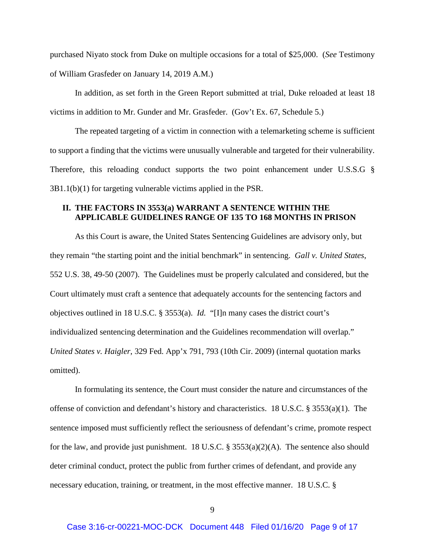purchased Niyato stock from Duke on multiple occasions for a total of \$25,000. (*See* Testimony of William Grasfeder on January 14, 2019 A.M.)

In addition, as set forth in the Green Report submitted at trial, Duke reloaded at least 18 victims in addition to Mr. Gunder and Mr. Grasfeder. (Gov't Ex. 67, Schedule 5.)

The repeated targeting of a victim in connection with a telemarketing scheme is sufficient to support a finding that the victims were unusually vulnerable and targeted for their vulnerability. Therefore, this reloading conduct supports the two point enhancement under U.S.S.G § 3B1.1(b)(1) for targeting vulnerable victims applied in the PSR.

## **II. THE FACTORS IN 3553(a) WARRANT A SENTENCE WITHIN THE APPLICABLE GUIDELINES RANGE OF 135 TO 168 MONTHS IN PRISON**

As this Court is aware, the United States Sentencing Guidelines are advisory only, but they remain "the starting point and the initial benchmark" in sentencing. *Gall v. United States*, 552 U.S. 38, 49-50 (2007). The Guidelines must be properly calculated and considered, but the Court ultimately must craft a sentence that adequately accounts for the sentencing factors and objectives outlined in 18 U.S.C. § 3553(a). *Id.* "[I]n many cases the district court's individualized sentencing determination and the Guidelines recommendation will overlap." *United States v. Haigler*, 329 Fed. App'x 791, 793 (10th Cir. 2009) (internal quotation marks omitted).

In formulating its sentence, the Court must consider the nature and circumstances of the offense of conviction and defendant's history and characteristics. 18 U.S.C. § 3553(a)(1). The sentence imposed must sufficiently reflect the seriousness of defendant's crime, promote respect for the law, and provide just punishment. 18 U.S.C. § 3553(a)(2)(A). The sentence also should deter criminal conduct, protect the public from further crimes of defendant, and provide any necessary education, training, or treatment, in the most effective manner. 18 U.S.C. §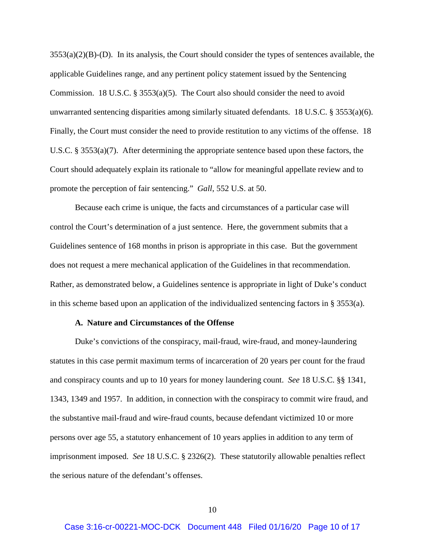$3553(a)(2)(B)$ -(D). In its analysis, the Court should consider the types of sentences available, the applicable Guidelines range, and any pertinent policy statement issued by the Sentencing Commission. 18 U.S.C.  $\S 3553(a)(5)$ . The Court also should consider the need to avoid unwarranted sentencing disparities among similarly situated defendants. 18 U.S.C. § 3553(a)(6). Finally, the Court must consider the need to provide restitution to any victims of the offense. 18 U.S.C. § 3553(a)(7). After determining the appropriate sentence based upon these factors, the Court should adequately explain its rationale to "allow for meaningful appellate review and to promote the perception of fair sentencing." *Gall*, 552 U.S. at 50.

Because each crime is unique, the facts and circumstances of a particular case will control the Court's determination of a just sentence. Here, the government submits that a Guidelines sentence of 168 months in prison is appropriate in this case. But the government does not request a mere mechanical application of the Guidelines in that recommendation. Rather, as demonstrated below, a Guidelines sentence is appropriate in light of Duke's conduct in this scheme based upon an application of the individualized sentencing factors in  $\S$  3553(a).

### **A. Nature and Circumstances of the Offense**

Duke's convictions of the conspiracy, mail-fraud, wire-fraud, and money-laundering statutes in this case permit maximum terms of incarceration of 20 years per count for the fraud and conspiracy counts and up to 10 years for money laundering count. *See* 18 U.S.C. §§ 1341, 1343, 1349 and 1957. In addition, in connection with the conspiracy to commit wire fraud, and the substantive mail-fraud and wire-fraud counts, because defendant victimized 10 or more persons over age 55, a statutory enhancement of 10 years applies in addition to any term of imprisonment imposed. *See* 18 U.S.C. § 2326(2). These statutorily allowable penalties reflect the serious nature of the defendant's offenses.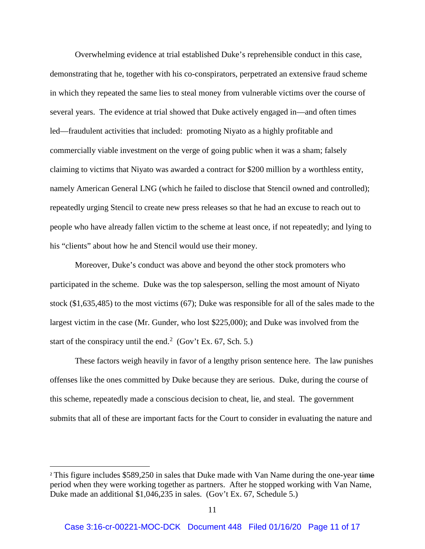Overwhelming evidence at trial established Duke's reprehensible conduct in this case, demonstrating that he, together with his co-conspirators, perpetrated an extensive fraud scheme in which they repeated the same lies to steal money from vulnerable victims over the course of several years. The evidence at trial showed that Duke actively engaged in—and often times led—fraudulent activities that included: promoting Niyato as a highly profitable and commercially viable investment on the verge of going public when it was a sham; falsely claiming to victims that Niyato was awarded a contract for \$200 million by a worthless entity, namely American General LNG (which he failed to disclose that Stencil owned and controlled); repeatedly urging Stencil to create new press releases so that he had an excuse to reach out to people who have already fallen victim to the scheme at least once, if not repeatedly; and lying to his "clients" about how he and Stencil would use their money.

Moreover, Duke's conduct was above and beyond the other stock promoters who participated in the scheme. Duke was the top salesperson, selling the most amount of Niyato stock (\$1,635,485) to the most victims (67); Duke was responsible for all of the sales made to the largest victim in the case (Mr. Gunder, who lost \$225,000); and Duke was involved from the start of the conspiracy until the end.<sup>[2](#page-10-0)</sup> (Gov't Ex. 67, Sch. 5.)

These factors weigh heavily in favor of a lengthy prison sentence here. The law punishes offenses like the ones committed by Duke because they are serious. Duke, during the course of this scheme, repeatedly made a conscious decision to cheat, lie, and steal. The government submits that all of these are important facts for the Court to consider in evaluating the nature and

<span id="page-10-0"></span><sup>&</sup>lt;sup>2</sup> This figure includes \$589,250 in sales that Duke made with Van Name during the one-year time period when they were working together as partners. After he stopped working with Van Name, Duke made an additional \$1,046,235 in sales. (Gov't Ex. 67, Schedule 5.)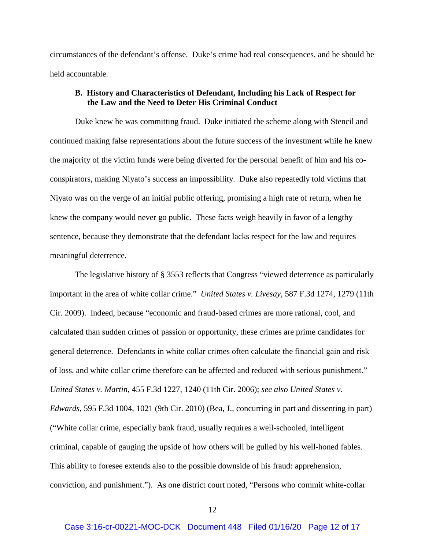circumstances of the defendant's offense. Duke's crime had real consequences, and he should be held accountable.

# **B. History and Characteristics of Defendant, Including his Lack of Respect for the Law and the Need to Deter His Criminal Conduct**

Duke knew he was committing fraud. Duke initiated the scheme along with Stencil and continued making false representations about the future success of the investment while he knew the majority of the victim funds were being diverted for the personal benefit of him and his coconspirators, making Niyato's success an impossibility. Duke also repeatedly told victims that Niyato was on the verge of an initial public offering, promising a high rate of return, when he knew the company would never go public. These facts weigh heavily in favor of a lengthy sentence, because they demonstrate that the defendant lacks respect for the law and requires meaningful deterrence.

The legislative history of § 3553 reflects that Congress "viewed deterrence as particularly important in the area of white collar crime." *United States v. Livesay*, 587 F.3d 1274, 1279 (11th Cir. 2009). Indeed, because "economic and fraud-based crimes are more rational, cool, and calculated than sudden crimes of passion or opportunity, these crimes are prime candidates for general deterrence. Defendants in white collar crimes often calculate the financial gain and risk of loss, and white collar crime therefore can be affected and reduced with serious punishment." *United States v. Martin*, 455 F.3d 1227, 1240 (11th Cir. 2006); *see also United States v. Edwards*, 595 F.3d 1004, 1021 (9th Cir. 2010) (Bea, J., concurring in part and dissenting in part) ("White collar crime, especially bank fraud, usually requires a well-schooled, intelligent criminal, capable of gauging the upside of how others will be gulled by his well-honed fables. This ability to foresee extends also to the possible downside of his fraud: apprehension, conviction, and punishment."). As one district court noted, "Persons who commit white-collar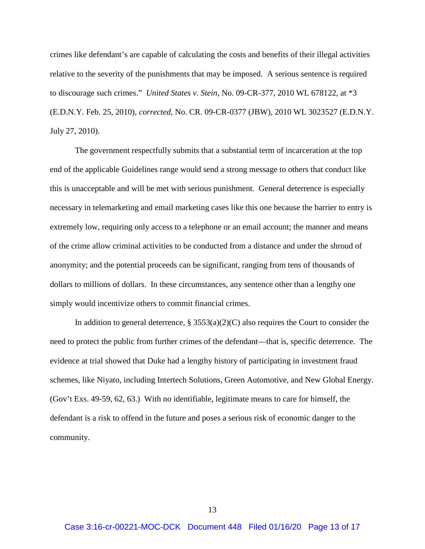crimes like defendant's are capable of calculating the costs and benefits of their illegal activities relative to the severity of the punishments that may be imposed. A serious sentence is required to discourage such crimes." *United States v. Stein*, No. 09-CR-377, 2010 WL 678122, at \*3 (E.D.N.Y. Feb. 25, 2010), *corrected*, No. CR. 09-CR-0377 (JBW), 2010 WL 3023527 (E.D.N.Y. July 27, 2010).

The government respectfully submits that a substantial term of incarceration at the top end of the applicable Guidelines range would send a strong message to others that conduct like this is unacceptable and will be met with serious punishment. General deterrence is especially necessary in telemarketing and email marketing cases like this one because the barrier to entry is extremely low, requiring only access to a telephone or an email account; the manner and means of the crime allow criminal activities to be conducted from a distance and under the shroud of anonymity; and the potential proceeds can be significant, ranging from tens of thousands of dollars to millions of dollars. In these circumstances, any sentence other than a lengthy one simply would incentivize others to commit financial crimes.

In addition to general deterrence,  $\S 3553(a)(2)(C)$  also requires the Court to consider the need to protect the public from further crimes of the defendant—that is, specific deterrence. The evidence at trial showed that Duke had a lengthy history of participating in investment fraud schemes, like Niyato, including Intertech Solutions, Green Automotive, and New Global Energy. (Gov't Exs. 49-59, 62, 63.) With no identifiable, legitimate means to care for himself, the defendant is a risk to offend in the future and poses a serious risk of economic danger to the community.

13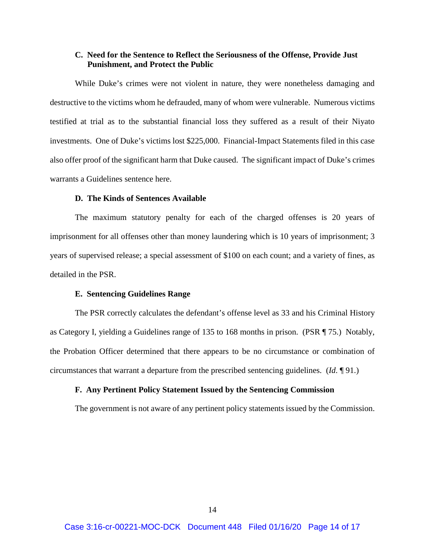## **C. Need for the Sentence to Reflect the Seriousness of the Offense, Provide Just Punishment, and Protect the Public**

While Duke's crimes were not violent in nature, they were nonetheless damaging and destructive to the victims whom he defrauded, many of whom were vulnerable. Numerous victims testified at trial as to the substantial financial loss they suffered as a result of their Niyato investments. One of Duke's victims lost \$225,000. Financial-Impact Statements filed in this case also offer proof of the significant harm that Duke caused. The significant impact of Duke's crimes warrants a Guidelines sentence here.

## **D. The Kinds of Sentences Available**

The maximum statutory penalty for each of the charged offenses is 20 years of imprisonment for all offenses other than money laundering which is 10 years of imprisonment; 3 years of supervised release; a special assessment of \$100 on each count; and a variety of fines, as detailed in the PSR.

### **E. Sentencing Guidelines Range**

The PSR correctly calculates the defendant's offense level as 33 and his Criminal History as Category I, yielding a Guidelines range of 135 to 168 months in prison. (PSR ¶ 75.) Notably, the Probation Officer determined that there appears to be no circumstance or combination of circumstances that warrant a departure from the prescribed sentencing guidelines. (*Id*. ¶ 91.)

### **F. Any Pertinent Policy Statement Issued by the Sentencing Commission**

The government is not aware of any pertinent policy statements issued by the Commission.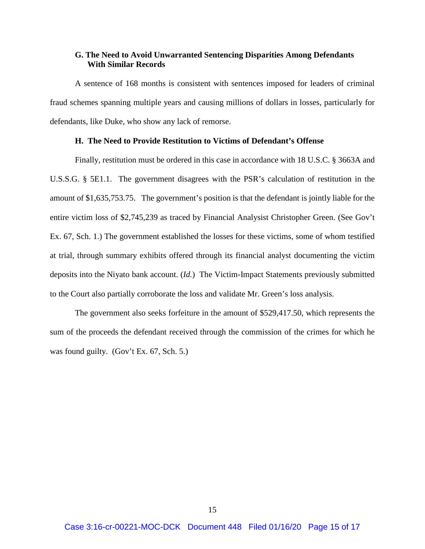## **G. The Need to Avoid Unwarranted Sentencing Disparities Among Defendants With Similar Records**

A sentence of 168 months is consistent with sentences imposed for leaders of criminal fraud schemes spanning multiple years and causing millions of dollars in losses, particularly for defendants, like Duke, who show any lack of remorse.

## **H. The Need to Provide Restitution to Victims of Defendant's Offense**

Finally, restitution must be ordered in this case in accordance with 18 U.S.C. § 3663A and U.S.S.G. § 5E1.1. The government disagrees with the PSR's calculation of restitution in the amount of \$1,635,753.75. The government's position is that the defendant is jointly liable for the entire victim loss of \$2,745,239 as traced by Financial Analysist Christopher Green. (See Gov't Ex. 67, Sch. 1.) The government established the losses for these victims, some of whom testified at trial, through summary exhibits offered through its financial analyst documenting the victim deposits into the Niyato bank account. (*Id.*) The Victim-Impact Statements previously submitted to the Court also partially corroborate the loss and validate Mr. Green's loss analysis.

The government also seeks forfeiture in the amount of \$529,417.50, which represents the sum of the proceeds the defendant received through the commission of the crimes for which he was found guilty. (Gov't Ex. 67, Sch. 5.)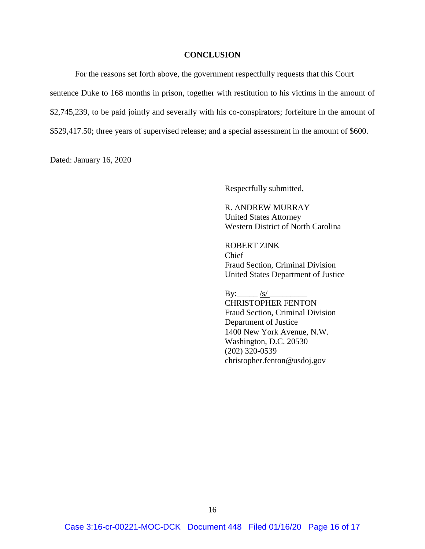### **CONCLUSION**

For the reasons set forth above, the government respectfully requests that this Court sentence Duke to 168 months in prison, together with restitution to his victims in the amount of \$2,745,239, to be paid jointly and severally with his co-conspirators; forfeiture in the amount of \$529,417.50; three years of supervised release; and a special assessment in the amount of \$600.

Dated: January 16, 2020

Respectfully submitted,

R. ANDREW MURRAY United States Attorney Western District of North Carolina

ROBERT ZINK Chief Fraud Section, Criminal Division United States Department of Justice

By:  $\frac{|s|}{|s|}$ CHRISTOPHER FENTON Fraud Section, Criminal Division Department of Justice 1400 New York Avenue, N.W. Washington, D.C. 20530 (202) 320-0539 christopher.fenton@usdoj.gov